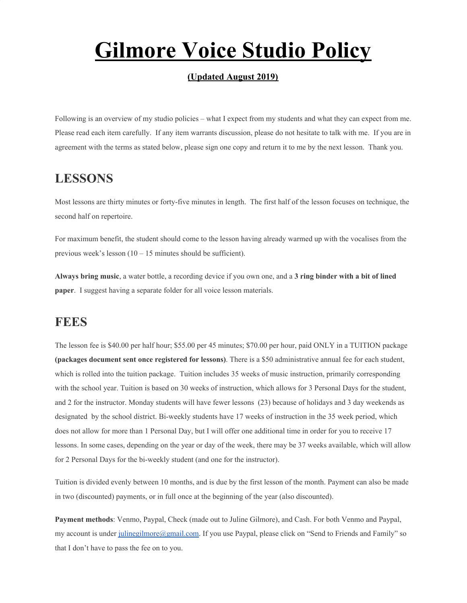# **Gilmore Voice Studio Policy**

#### **(Updated August 2019)**

Following is an overview of my studio policies – what I expect from my students and what they can expect from me. Please read each item carefully. If any item warrants discussion, please do not hesitate to talk with me. If you are in agreement with the terms as stated below, please sign one copy and return it to me by the next lesson. Thank you.

## **LESSONS**

Most lessons are thirty minutes or forty-five minutes in length. The first half of the lesson focuses on technique, the second half on repertoire.

For maximum benefit, the student should come to the lesson having already warmed up with the vocalises from the previous week's lesson  $(10 - 15 \text{ minutes}$  should be sufficient).

**Always bring music**, a water bottle, a recording device if you own one, and a **3 ring binder with a bit of lined paper**. I suggest having a separate folder for all voice lesson materials.

#### **FEES**

The lesson fee is \$40.00 per half hour; \$55.00 per 45 minutes; \$70.00 per hour, paid ONLY in a TUITION package **(packages document sent once registered for lessons)**. There is a \$50 administrative annual fee for each student, which is rolled into the tuition package. Tuition includes 35 weeks of music instruction, primarily corresponding with the school year. Tuition is based on 30 weeks of instruction, which allows for 3 Personal Days for the student, and 2 for the instructor. Monday students will have fewer lessons (23) because of holidays and 3 day weekends as designated by the school district. Bi-weekly students have 17 weeks of instruction in the 35 week period, which does not allow for more than 1 Personal Day, but I will offer one additional time in order for you to receive 17 lessons. In some cases, depending on the year or day of the week, there may be 37 weeks available, which will allow for 2 Personal Days for the bi-weekly student (and one for the instructor).

Tuition is divided evenly between 10 months, and is due by the first lesson of the month. Payment can also be made in two (discounted) payments, or in full once at the beginning of the year (also discounted).

**Payment methods**: Venmo, Paypal, Check (made out to Juline Gilmore), and Cash. For both Venmo and Paypal, my account is under [julinegilmore@gmail.com.](mailto:julinegilmore@gmail.com) If you use Paypal, please click on "Send to Friends and Family" so that I don't have to pass the fee on to you.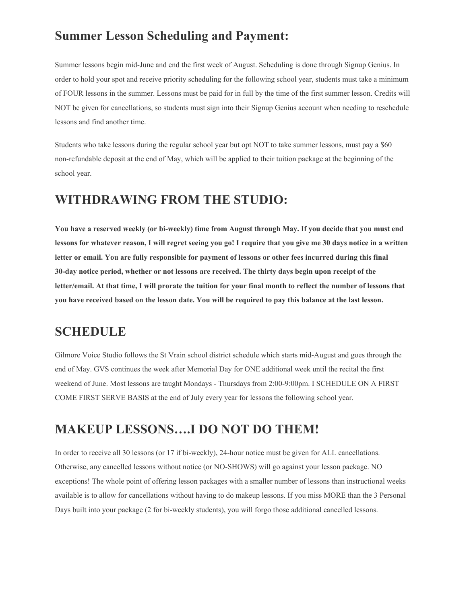## **Summer Lesson Scheduling and Payment:**

Summer lessons begin mid-June and end the first week of August. Scheduling is done through Signup Genius. In order to hold your spot and receive priority scheduling for the following school year, students must take a minimum of FOUR lessons in the summer. Lessons must be paid for in full by the time of the first summer lesson. Credits will NOT be given for cancellations, so students must sign into their Signup Genius account when needing to reschedule lessons and find another time.

Students who take lessons during the regular school year but opt NOT to take summer lessons, must pay a \$60 non-refundable deposit at the end of May, which will be applied to their tuition package at the beginning of the school year.

### **WITHDRAWING FROM THE STUDIO:**

You have a reserved weekly (or bi-weekly) time from August through May. If you decide that you must end lessons for whatever reason, I will regret seeing you go! I require that you give me 30 days notice in a written letter or email. You are fully responsible for payment of lessons or other fees incurred during this final **30-day notice period, whether or not lessons are received. The thirty days begin upon receipt of the** letter/email. At that time, I will prorate the tuition for your final month to reflect the number of lessons that you have received based on the lesson date. You will be required to pay this balance at the last lesson.

#### **SCHEDULE**

Gilmore Voice Studio follows the St Vrain school district schedule which starts mid-August and goes through the end of May. GVS continues the week after Memorial Day for ONE additional week until the recital the first weekend of June. Most lessons are taught Mondays - Thursdays from 2:00-9:00pm. I SCHEDULE ON A FIRST COME FIRST SERVE BASIS at the end of July every year for lessons the following school year.

## **MAKEUP LESSONS….I DO NOT DO THEM!**

In order to receive all 30 lessons (or 17 if bi-weekly), 24-hour notice must be given for ALL cancellations. Otherwise, any cancelled lessons without notice (or NO-SHOWS) will go against your lesson package. NO exceptions! The whole point of offering lesson packages with a smaller number of lessons than instructional weeks available is to allow for cancellations without having to do makeup lessons. If you miss MORE than the 3 Personal Days built into your package (2 for bi-weekly students), you will forgo those additional cancelled lessons.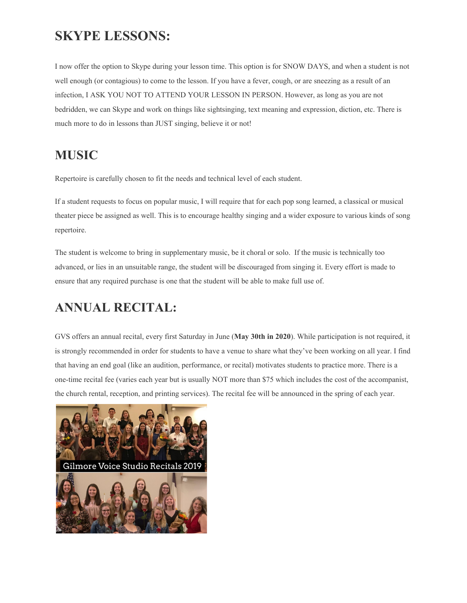## **SKYPE LESSONS:**

I now offer the option to Skype during your lesson time. This option is for SNOW DAYS, and when a student is not well enough (or contagious) to come to the lesson. If you have a fever, cough, or are sneezing as a result of an infection, I ASK YOU NOT TO ATTEND YOUR LESSON IN PERSON. However, as long as you are not bedridden, we can Skype and work on things like sightsinging, text meaning and expression, diction, etc. There is much more to do in lessons than JUST singing, believe it or not!

## **MUSIC**

Repertoire is carefully chosen to fit the needs and technical level of each student.

If a student requests to focus on popular music, I will require that for each pop song learned, a classical or musical theater piece be assigned as well. This is to encourage healthy singing and a wider exposure to various kinds of song repertoire.

The student is welcome to bring in supplementary music, be it choral or solo. If the music is technically too advanced, or lies in an unsuitable range, the student will be discouraged from singing it. Every effort is made to ensure that any required purchase is one that the student will be able to make full use of.

## **ANNUAL RECITAL:**

GVS offers an annual recital, every first Saturday in June (**May 30th in 2020**). While participation is not required, it is strongly recommended in order for students to have a venue to share what they've been working on all year. I find that having an end goal (like an audition, performance, or recital) motivates students to practice more. There is a one-time recital fee (varies each year but is usually NOT more than \$75 which includes the cost of the accompanist, the church rental, reception, and printing services). The recital fee will be announced in the spring of each year.